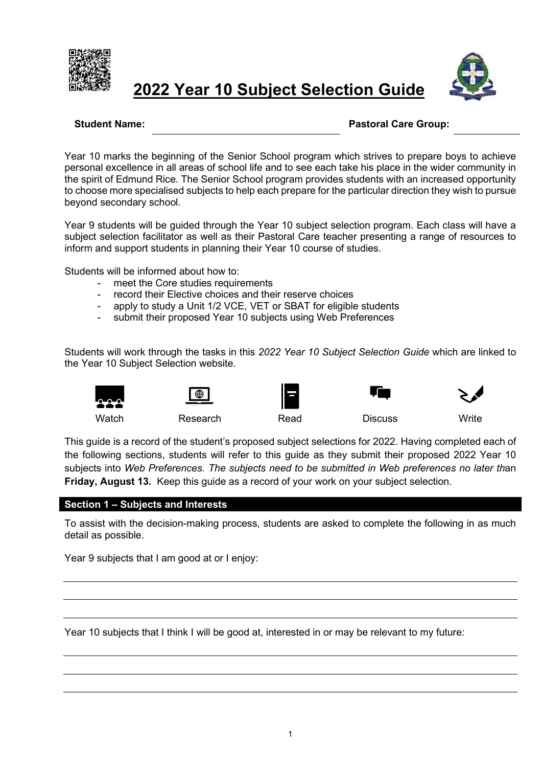

# **2022 Year 10 Subject Selection Guide**



#### **Student Name: Pastoral Care Group:**

Year 10 marks the beginning of the Senior School program which strives to prepare boys to achieve personal excellence in all areas of school life and to see each take his place in the wider community in the spirit of Edmund Rice. The Senior School program provides students with an increased opportunity to choose more specialised subjects to help each prepare for the particular direction they wish to pursue beyond secondary school.

Year 9 students will be guided through the Year 10 subject selection program. Each class will have a subject selection facilitator as well as their Pastoral Care teacher presenting a range of resources to inform and support students in planning their Year 10 course of studies.

Students will be informed about how to:

- meet the Core studies requirements
- record their Elective choices and their reserve choices
- apply to study a Unit 1/2 VCE, VET or SBAT for eligible students
- submit their proposed Year 10 subjects using Web Preferences

Students will work through the tasks in this *2022 Year 10 Subject Selection Guide* which are linked to the Year 10 Subject Selection website.















Watch Research Read Discuss Write

This guide is a record of the student's proposed subject selections for 2022. Having completed each of the following sections, students will refer to this guide as they submit their proposed 2022 Year 10 subjects into *Web Preferences. The subjects need to be submitted in Web preferences no later th*an **Friday, August 13.** Keep this guide as a record of your work on your subject selection.

#### **Section 1 – Subjects and Interests**

To assist with the decision-making process, students are asked to complete the following in as much detail as possible.

Year 9 subjects that I am good at or I enjoy:

Year 10 subjects that I think I will be good at, interested in or may be relevant to my future: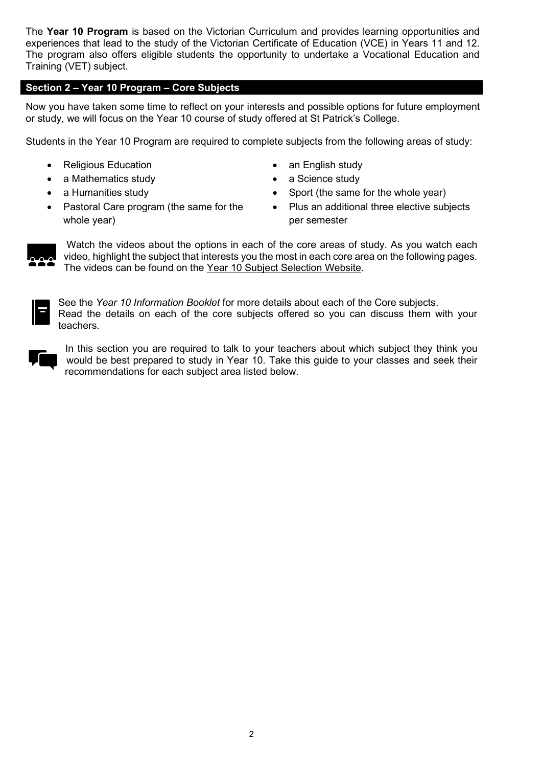The **Year 10 Program** is based on the Victorian Curriculum and provides learning opportunities and experiences that lead to the study of the Victorian Certificate of Education (VCE) in Years 11 and 12. The program also offers eligible students the opportunity to undertake a Vocational Education and Training (VET) subject.

#### **Section 2 – Year 10 Program – Core Subjects**

Now you have taken some time to reflect on your interests and possible options for future employment or study, we will focus on the Year 10 course of study offered at St Patrick's College.

Students in the Year 10 Program are required to complete subjects from the following areas of study:

- Religious Education an English study
- a Mathematics study  **a Science study**
- 
- Pastoral Care program (the same for the whole year)
- 
- 
- a Humanities study Sport (the same for the whole year)
	- Plus an additional three elective subjects per semester



Watch the videos about the options in each of the core areas of study. As you watch each video, highlight the subject that interests you the most in each core area on the following pages. The videos can be found on the Year 10 Subject Selection Website.



See the *Year 10 Information Booklet* for more details about each of the Core subjects. Read the details on each of the core subjects offered so you can discuss them with your teachers.



In this section you are required to talk to your teachers about which subject they think you would be best prepared to study in Year 10. Take this guide to your classes and seek their recommendations for each subject area listed below.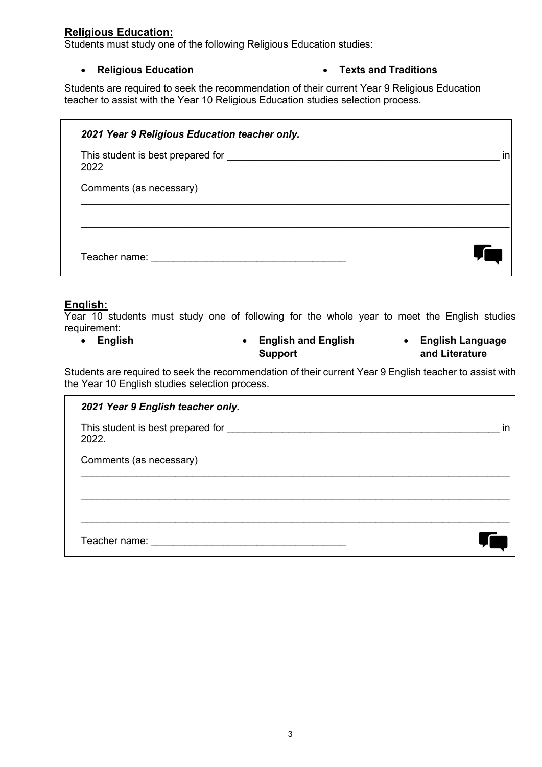### **Religious Education:**

Students must study one of the following Religious Education studies:

#### • **Religious Education** • **Texts and Traditions**

Students are required to seek the recommendation of their current Year 9 Religious Education teacher to assist with the Year 10 Religious Education studies selection process.

| 2021 Year 9 Religious Education teacher only. |    |
|-----------------------------------------------|----|
| This student is best prepared for<br>2022     | in |
| Comments (as necessary)                       |    |
|                                               |    |
| Teacher name:                                 |    |

#### **English:**

Year 10 students must study one of following for the whole year to meet the English studies requirement:

• **English** • **English and English Support** • **English Language and Literature**

Students are required to seek the recommendation of their current Year 9 English teacher to assist with the Year 10 English studies selection process.

| 2021 Year 9 English teacher only.          |    |
|--------------------------------------------|----|
| This student is best prepared for<br>2022. | in |
| Comments (as necessary)                    |    |
|                                            |    |
|                                            |    |
| Teacher name:                              |    |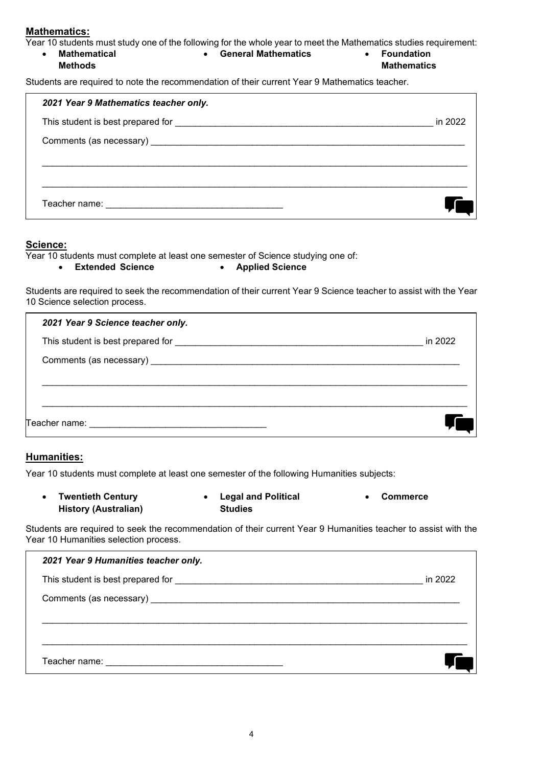#### **Mathematics:**

Year 10 students must study one of the following for the whole year to meet the Mathematics studies requirement:

• **Mathematical Methods** • **General Mathematics** • **Foundation Mathematics**

Students are required to note the recommendation of their current Year 9 Mathematics teacher.

| 2021 Year 9 Mathematics teacher only. |         |
|---------------------------------------|---------|
|                                       | in 2022 |
|                                       |         |
|                                       |         |
|                                       |         |
|                                       |         |

#### **Science:**

Year 10 students must complete at least one semester of Science studying one of:<br>• Extended Science • Applied Science

• **Extended Science** • **Applied Science**

Students are required to seek the recommendation of their current Year 9 Science teacher to assist with the Year 10 Science selection process.

| 2021 Year 9 Science teacher only. |         |
|-----------------------------------|---------|
|                                   | in 2022 |
|                                   |         |
|                                   |         |
|                                   |         |
|                                   |         |

#### **Humanities:**

Year 10 students must complete at least one semester of the following Humanities subjects:

| <b>Twentieth Century</b>    | <b>Legal and Political</b> | Commerce |
|-----------------------------|----------------------------|----------|
| <b>History (Australian)</b> | <b>Studies</b>             |          |

Students are required to seek the recommendation of their current Year 9 Humanities teacher to assist with the Year 10 Humanities selection process.

| 2021 Year 9 Humanities teacher only. |         |
|--------------------------------------|---------|
|                                      | in 2022 |
|                                      |         |
|                                      |         |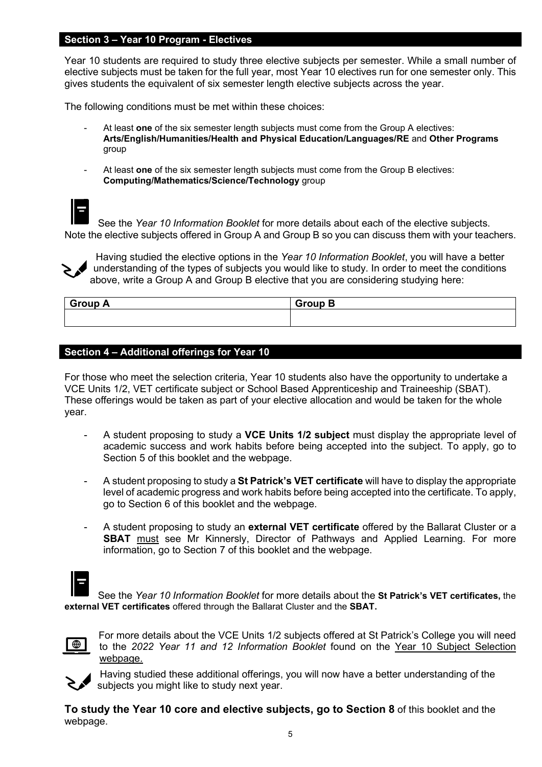#### **Section 3 – Year 10 Program - Electives**

Year 10 students are required to study three elective subjects per semester. While a small number of elective subjects must be taken for the full year, most Year 10 electives run for one semester only. This gives students the equivalent of six semester length elective subjects across the year.

The following conditions must be met within these choices:

- At least **one** of the six semester length subjects must come from the Group A electives: **Arts/English/Humanities/Health and Physical Education/Languages/RE** and **Other Programs** group
- At least **one** of the six semester length subjects must come from the Group B electives: **Computing/Mathematics/Science/Technology** group

See the *Year 10 Information Booklet* for more details about each of the elective subjects. Note the elective subjects offered in Group A and Group B so you can discuss them with your teachers.

Having studied the elective options in the *Year 10 Information Booklet*, you will have a better understanding of the types of subjects you would like to study. In order to meet the conditions above, write a Group A and Group B elective that you are considering studying here:

| <b>Group A</b> | <b>Group B</b> |
|----------------|----------------|
|                |                |

#### **Section 4 – Additional offerings for Year 10**

For those who meet the selection criteria, Year 10 students also have the opportunity to undertake a VCE Units 1/2, VET certificate subject or School Based Apprenticeship and Traineeship (SBAT). These offerings would be taken as part of your elective allocation and would be taken for the whole year.

- A student proposing to study a **VCE Units 1/2 subject** must display the appropriate level of academic success and work habits before being accepted into the subject. To apply, go to Section 5 of this booklet and the webpage.
- A student proposing to study a **St Patrick's VET certificate** will have to display the appropriate level of academic progress and work habits before being accepted into the certificate. To apply, go to Section 6 of this booklet and the webpage.
- A student proposing to study an **external VET certificate** offered by the Ballarat Cluster or a **SBAT** must see Mr Kinnersly, Director of Pathways and Applied Learning. For more information, go to Section 7 of this booklet and the webpage.

See the *Year 10 Information Booklet* for more details about the **St Patrick's VET certificates,** the **external VET certificates** offered through the Ballarat Cluster and the **SBAT.** 



For more details about the VCE Units 1/2 subjects offered at St Patrick's College you will need to the *2022 Year 11 and 12 Information Booklet* found on the Year 10 Subject Selection webpage.



Having studied these additional offerings, you will now have a better understanding of the subjects you might like to study next year.

**To study the Year 10 core and elective subjects, go to Section 8** of this booklet and the webpage.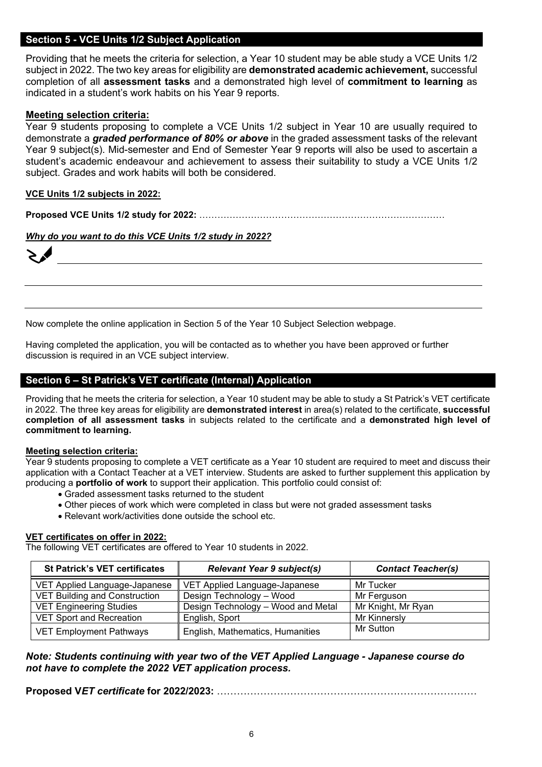#### **Section 5 - VCE Units 1/2 Subject Application**

Providing that he meets the criteria for selection, a Year 10 student may be able study a VCE Units 1/2 subject in 2022. The two key areas for eligibility are **demonstrated academic achievement,** successful completion of all **assessment tasks** and a demonstrated high level of **commitment to learning** as indicated in a student's work habits on his Year 9 reports.

#### **Meeting selection criteria:**

Year 9 students proposing to complete a VCE Units 1/2 subject in Year 10 are usually required to demonstrate a *graded performance of 80% or above* in the graded assessment tasks of the relevant Year 9 subject(s). Mid-semester and End of Semester Year 9 reports will also be used to ascertain a student's academic endeavour and achievement to assess their suitability to study a VCE Units 1/2 subject. Grades and work habits will both be considered.

#### **VCE Units 1/2 subjects in 2022:**

**Proposed VCE Units 1/2 study for 2022:** ………………………………………………………………………

#### *Why do you want to do this VCE Units 1/2 study in 2022?*

Now complete the online application in Section 5 of the Year 10 Subject Selection webpage.

Having completed the application, you will be contacted as to whether you have been approved or further discussion is required in an VCE subject interview.

#### **Section 6 – St Patrick's VET certificate (Internal) Application**

Providing that he meets the criteria for selection, a Year 10 student may be able to study a St Patrick's VET certificate in 2022. The three key areas for eligibility are **demonstrated interest** in area(s) related to the certificate, **successful completion of all assessment tasks** in subjects related to the certificate and a **demonstrated high level of commitment to learning.**

#### **Meeting selection criteria:**

Year 9 students proposing to complete a VET certificate as a Year 10 student are required to meet and discuss their application with a Contact Teacher at a VET interview. Students are asked to further supplement this application by producing a **portfolio of work** to support their application. This portfolio could consist of:

- Graded assessment tasks returned to the student
- Other pieces of work which were completed in class but were not graded assessment tasks
- Relevant work/activities done outside the school etc.

#### **VET certificates on offer in 2022:**

The following VET certificates are offered to Year 10 students in 2022.

| <b>St Patrick's VET certificates</b> | <b>Relevant Year 9 subject(s)</b>  | <b>Contact Teacher(s)</b> |
|--------------------------------------|------------------------------------|---------------------------|
| VET Applied Language-Japanese        | VET Applied Language-Japanese      | Mr Tucker                 |
| <b>VET Building and Construction</b> | Design Technology - Wood           | Mr Ferguson               |
| <b>VET Engineering Studies</b>       | Design Technology - Wood and Metal | Mr Knight, Mr Ryan        |
| <b>VET Sport and Recreation</b>      | English, Sport                     | Mr Kinnersly              |
| <b>VET Employment Pathways</b>       | English, Mathematics, Humanities   | Mr Sutton                 |

#### *Note: Students continuing with year two of the VET Applied Language - Japanese course do not have to complete the 2022 VET application process.*

**Proposed V***ET certificate* **for 2022/2023:** ……………………………………………………………………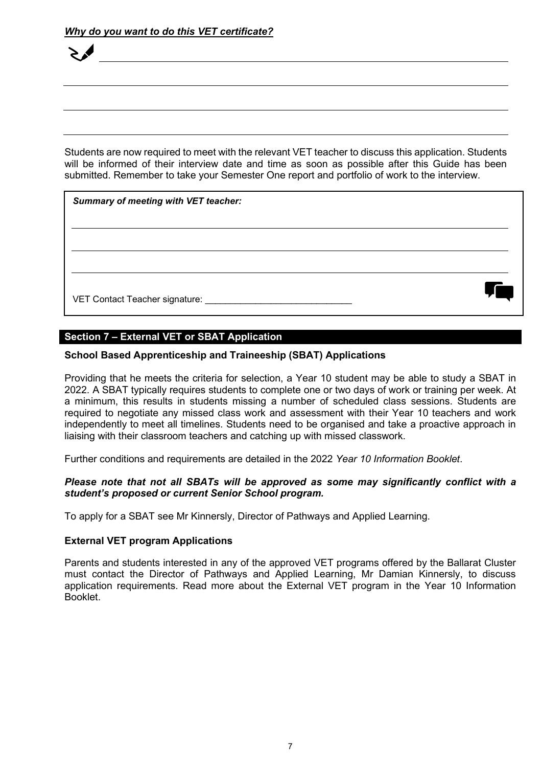Students are now required to meet with the relevant VET teacher to discuss this application. Students will be informed of their interview date and time as soon as possible after this Guide has been submitted. Remember to take your Semester One report and portfolio of work to the interview.

| <b>Summary of meeting with VET teacher:</b> |  |
|---------------------------------------------|--|
|                                             |  |
|                                             |  |
|                                             |  |

# **Section 7 – External VET or SBAT Application**

#### **School Based Apprenticeship and Traineeship (SBAT) Applications**

Providing that he meets the criteria for selection, a Year 10 student may be able to study a SBAT in 2022. A SBAT typically requires students to complete one or two days of work or training per week. At a minimum, this results in students missing a number of scheduled class sessions. Students are required to negotiate any missed class work and assessment with their Year 10 teachers and work independently to meet all timelines. Students need to be organised and take a proactive approach in liaising with their classroom teachers and catching up with missed classwork.

Further conditions and requirements are detailed in the 2022 *Year 10 Information Booklet*.

#### *Please note that not all SBATs will be approved as some may significantly conflict with a student's proposed or current Senior School program.*

To apply for a SBAT see Mr Kinnersly, Director of Pathways and Applied Learning.

#### **External VET program Applications**

Parents and students interested in any of the approved VET programs offered by the Ballarat Cluster must contact the Director of Pathways and Applied Learning, Mr Damian Kinnersly, to discuss application requirements. Read more about the External VET program in the Year 10 Information Booklet.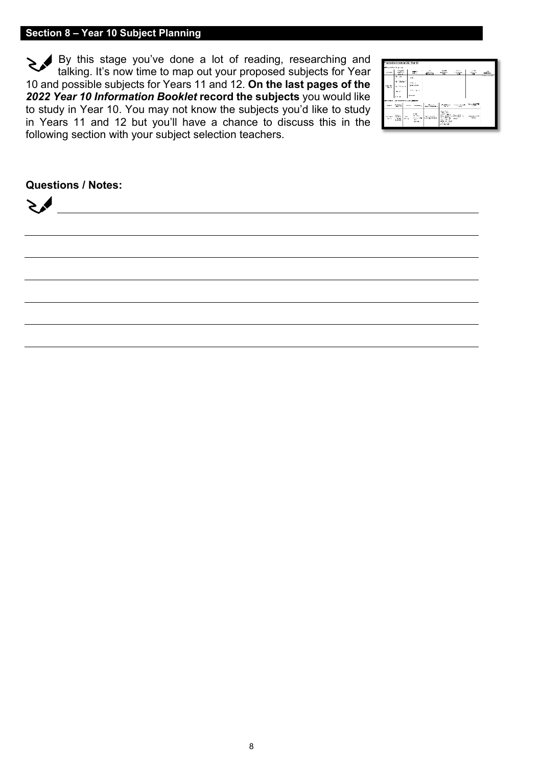## **Section 8 – Year 10 Subject Planning**

By this stage you've done a lot of reading, researching and talking. It's now time to map out your proposed subjects for Year 10 and possible subjects for Years 11 and 12. **On the last pages of the** *2022 Year 10 Information Booklet* **record the subjects** you would like to study in Year 10. You may not know the subjects you'd like to study in Years 11 and 12 but you'll have a chance to discuss this in the following section with your subject selection teachers.



### **Questions / Notes:**

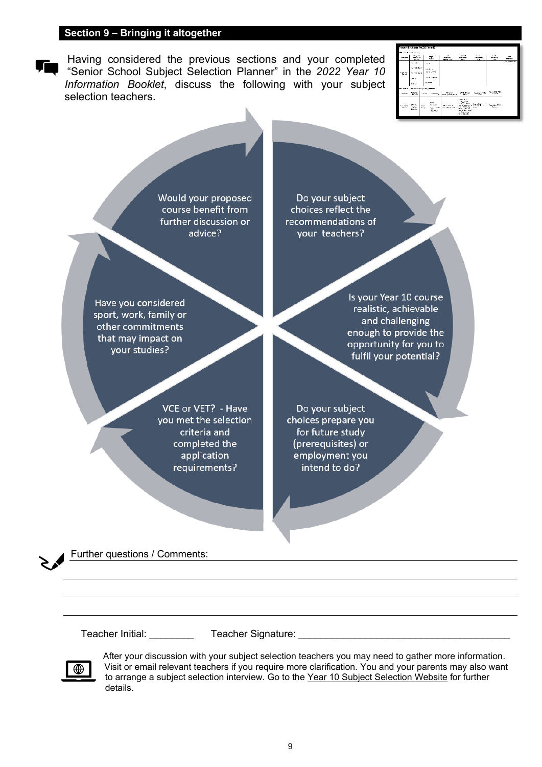#### **Section 9 – Bringing it altogether**

Having considered the previous sections and your completed "Senior School Subject Selection Planner" in the *2022 Year 10 Information Booklet*, discuss the following with your subject selection teachers.

|                 | vocesed subjects for 2021 Year 12               |                            |                                                           |                                      |                                                                               |                                         |                                |                                               |
|-----------------|-------------------------------------------------|----------------------------|-----------------------------------------------------------|--------------------------------------|-------------------------------------------------------------------------------|-----------------------------------------|--------------------------------|-----------------------------------------------|
|                 | <b>Property Property Administration</b>         |                            |                                                           |                                      |                                                                               |                                         |                                |                                               |
|                 | <b>Disposts</b><br><b>PERSONAL</b><br>mars.     |                            | 37                                                        | ×<br><b>SERVAL</b><br>Milwood.       | <b>SOME</b><br><b>MARINALE</b><br>HOL                                         | <b>Brunt</b><br><b>Limited</b><br>500   | 15.7%<br>----<br>23            | $\overline{\phantom{a}}$<br><b>CONTRACTOR</b> |
| 755             | 0.35<br><b>MODES</b><br>22,448<br>No.41         | of the<br><b>Lite show</b> | <b>Latched</b><br><b>SERVICE</b><br><b>Light Council</b>  |                                      |                                                                               |                                         |                                | <b>Tradition of the</b>                       |
|                 | de mannere con posser                           |                            |                                                           |                                      |                                                                               |                                         |                                |                                               |
| <b>ASSAULT</b>  | $-1000 - 20$                                    | <b>WOOD</b>                | <b>Scottwick</b>                                          | Peacot<br><b>Back College Mary 4</b> | <b>Coll Britain</b><br>ъ.,                                                    | Internationally<br><b>CAL</b>           | Novined CS<br>SOM <sup>1</sup> |                                               |
| 1207071<br>1977 | han i<br><b>CONTRACTOR</b><br>Crister<br>London | <b>OW!</b><br><b>PLAY</b>  | <b>Autor</b><br><b>MALL</b><br>10000000<br>m.<br>market a | September 1983<br>LES MUSEUM         | mar Mille<br><br><br>130 CB<br>ndia de cond<br>distant and set<br>a cost-side | hand fall of<br><b>FOUND V</b><br>18.79 | San Min. 2.8<br>Sept.          |                                               |

Would your proposed course benefit from further discussion or advice?

Have you considered sport, work, family or other commitments that may impact on your studies?

> VCE or VET? - Have you met the selection criteria and completed the application requirements?

Do your subject choices reflect the recommendations of your teachers?

> Is your Year 10 course realistic, achievable and challenging enough to provide the opportunity for you to fulfil your potential?

Do your subject choices prepare you for future study (prerequisites) or employment you intend to do?

Further questions / Comments:

Teacher Initial: Teacher Signature: **Teacher Signature**:



After your discussion with your subject selection teachers you may need to gather more information. Visit or email relevant teachers if you require more clarification. You and your parents may also want to arrange a subject selection interview. Go to the Year 10 Subject Selection Website for further details.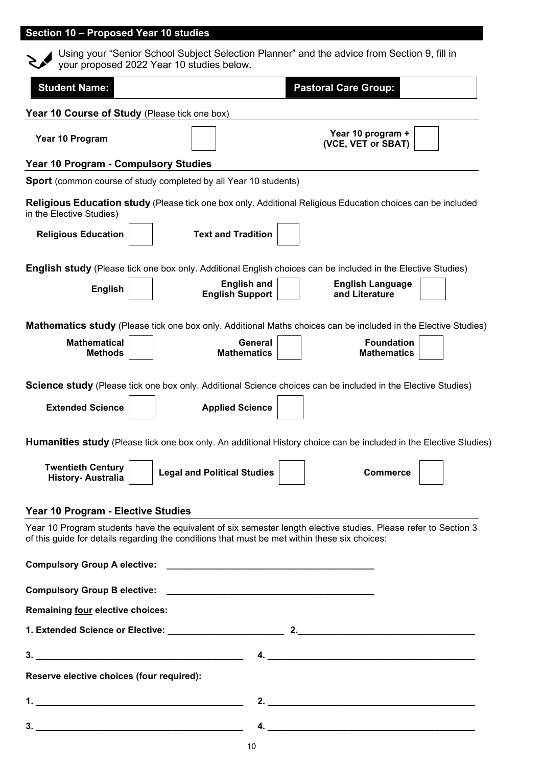# **Section 10 – Proposed Year 10 studies**

|                                                                                                                        | your proposed 2022 Year 10 studies below.                                                                            | Using your "Senior School Subject Selection Planner" and the advice from Section 9, fill in                              |  |  |  |
|------------------------------------------------------------------------------------------------------------------------|----------------------------------------------------------------------------------------------------------------------|--------------------------------------------------------------------------------------------------------------------------|--|--|--|
| <b>Student Name:</b>                                                                                                   |                                                                                                                      | <b>Pastoral Care Group:</b>                                                                                              |  |  |  |
| Year 10 Course of Study (Please tick one box)                                                                          |                                                                                                                      |                                                                                                                          |  |  |  |
| Year 10 Program                                                                                                        |                                                                                                                      | Year 10 program +<br>(VCE, VET or SBAT)                                                                                  |  |  |  |
| <b>Year 10 Program - Compulsory Studies</b>                                                                            |                                                                                                                      |                                                                                                                          |  |  |  |
| <b>Sport</b> (common course of study completed by all Year 10 students)                                                |                                                                                                                      |                                                                                                                          |  |  |  |
| in the Elective Studies)                                                                                               |                                                                                                                      | Religious Education study (Please tick one box only. Additional Religious Education choices can be included              |  |  |  |
| <b>Religious Education</b>                                                                                             | <b>Text and Tradition</b>                                                                                            |                                                                                                                          |  |  |  |
|                                                                                                                        |                                                                                                                      | <b>English study</b> (Please tick one box only. Additional English choices can be included in the Elective Studies)      |  |  |  |
| <b>English</b>                                                                                                         | <b>English and</b><br><b>English Support</b>                                                                         | <b>English Language</b><br>and Literature                                                                                |  |  |  |
|                                                                                                                        |                                                                                                                      | <b>Mathematics study</b> (Please tick one box only. Additional Maths choices can be included in the Elective Studies)    |  |  |  |
| <b>Mathematical</b><br><b>Methods</b>                                                                                  | <b>General</b><br><b>Mathematics</b>                                                                                 | <b>Foundation</b><br><b>Mathematics</b>                                                                                  |  |  |  |
|                                                                                                                        |                                                                                                                      | <b>Science study</b> (Please tick one box only. Additional Science choices can be included in the Elective Studies)      |  |  |  |
| <b>Extended Science</b>                                                                                                | <b>Applied Science</b>                                                                                               |                                                                                                                          |  |  |  |
|                                                                                                                        |                                                                                                                      | <b>Humanities study</b> (Please tick one box only. An additional History choice can be included in the Elective Studies) |  |  |  |
| <b>Twentieth Century</b><br><b>History-Australia</b>                                                                   | <b>Legal and Political Studies</b>                                                                                   | <b>Commerce</b>                                                                                                          |  |  |  |
| Year 10 Program - Elective Studies                                                                                     |                                                                                                                      |                                                                                                                          |  |  |  |
| of this guide for details regarding the conditions that must be met within these six choices:                          |                                                                                                                      | Year 10 Program students have the equivalent of six semester length elective studies. Please refer to Section 3          |  |  |  |
| <b>Compulsory Group A elective:</b>                                                                                    | <u> 1989 - Johann Barbara, martin amerikan basal dan berasal dan berasal dalam basal dan berasal dan berasal dan</u> |                                                                                                                          |  |  |  |
|                                                                                                                        |                                                                                                                      |                                                                                                                          |  |  |  |
| Remaining four elective choices:                                                                                       |                                                                                                                      |                                                                                                                          |  |  |  |
|                                                                                                                        |                                                                                                                      |                                                                                                                          |  |  |  |
| $3.$ $\overline{\phantom{a}}$                                                                                          |                                                                                                                      | 4. $\overline{\phantom{a}}$                                                                                              |  |  |  |
| Reserve elective choices (four required):                                                                              |                                                                                                                      |                                                                                                                          |  |  |  |
|                                                                                                                        |                                                                                                                      | 2.                                                                                                                       |  |  |  |
| <u> 1989 - Johann Stoff, deutscher Stoffen und der Stoffen und der Stoffen und der Stoffen und der Stoffen und der</u> |                                                                                                                      | $\overline{a}$ .                                                                                                         |  |  |  |